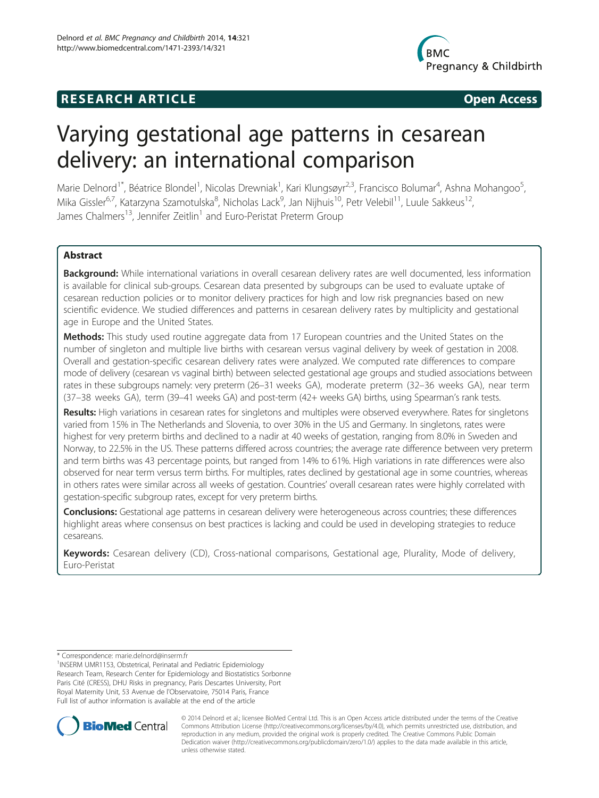## **RESEARCH ARTICLE Example 2008 CONSIDERING CONSIDERING CONSIDERING CONSIDERING CONSIDERING CONSIDERING CONSIDERING CONSIDERING CONSIDERING CONSIDERING CONSIDERING CONSIDERING CONSIDERING CONSIDERING CONSIDERING CONSIDE**



# Varying gestational age patterns in cesarean delivery: an international comparison

Marie Delnord<sup>1\*</sup>, Béatrice Blondel<sup>1</sup>, Nicolas Drewniak<sup>1</sup>, Kari Klungsøyr<sup>2,3</sup>, Francisco Bolumar<sup>4</sup>, Ashna Mohangoo<sup>5</sup> , Mika Gissler<sup>6,7</sup>, Katarzyna Szamotulska<sup>8</sup>, Nicholas Lack<sup>9</sup>, Jan Nijhuis<sup>10</sup>, Petr Velebil<sup>11</sup>, Luule Sakkeus<sup>12</sup>, James Chalmers<sup>13</sup>, Jennifer Zeitlin<sup>1</sup> and Euro-Peristat Preterm Group

### Abstract

**Background:** While international variations in overall cesarean delivery rates are well documented, less information is available for clinical sub-groups. Cesarean data presented by subgroups can be used to evaluate uptake of cesarean reduction policies or to monitor delivery practices for high and low risk pregnancies based on new scientific evidence. We studied differences and patterns in cesarean delivery rates by multiplicity and gestational age in Europe and the United States.

Methods: This study used routine aggregate data from 17 European countries and the United States on the number of singleton and multiple live births with cesarean versus vaginal delivery by week of gestation in 2008. Overall and gestation-specific cesarean delivery rates were analyzed. We computed rate differences to compare mode of delivery (cesarean vs vaginal birth) between selected gestational age groups and studied associations between rates in these subgroups namely: very preterm (26–31 weeks GA), moderate preterm (32–36 weeks GA), near term (37–38 weeks GA), term (39–41 weeks GA) and post-term (42+ weeks GA) births, using Spearman's rank tests.

Results: High variations in cesarean rates for singletons and multiples were observed everywhere. Rates for singletons varied from 15% in The Netherlands and Slovenia, to over 30% in the US and Germany. In singletons, rates were highest for very preterm births and declined to a nadir at 40 weeks of gestation, ranging from 8.0% in Sweden and Norway, to 22.5% in the US. These patterns differed across countries; the average rate difference between very preterm and term births was 43 percentage points, but ranged from 14% to 61%. High variations in rate differences were also observed for near term versus term births. For multiples, rates declined by gestational age in some countries, whereas in others rates were similar across all weeks of gestation. Countries' overall cesarean rates were highly correlated with gestation-specific subgroup rates, except for very preterm births.

**Conclusions:** Gestational age patterns in cesarean delivery were heterogeneous across countries; these differences highlight areas where consensus on best practices is lacking and could be used in developing strategies to reduce cesareans.

Keywords: Cesarean delivery (CD), Cross-national comparisons, Gestational age, Plurality, Mode of delivery, Euro-Peristat

<sup>1</sup> INSERM UMR1153, Obstetrical, Perinatal and Pediatric Epidemiology Research Team, Research Center for Epidemiology and Biostatistics Sorbonne Paris Cité (CRESS), DHU Risks in pregnancy, Paris Descartes University, Port Royal Maternity Unit, 53 Avenue de l'Observatoire, 75014 Paris, France Full list of author information is available at the end of the article



© 2014 Delnord et al.; licensee BioMed Central Ltd. This is an Open Access article distributed under the terms of the Creative Commons Attribution License [\(http://creativecommons.org/licenses/by/4.0\)](http://creativecommons.org/licenses/by/4.0), which permits unrestricted use, distribution, and reproduction in any medium, provided the original work is properly credited. The Creative Commons Public Domain Dedication waiver [\(http://creativecommons.org/publicdomain/zero/1.0/](http://creativecommons.org/publicdomain/zero/1.0/)) applies to the data made available in this article, unless otherwise stated.

<sup>\*</sup> Correspondence: [marie.delnord@inserm.fr](mailto:marie.delnord@inserm.fr) <sup>1</sup>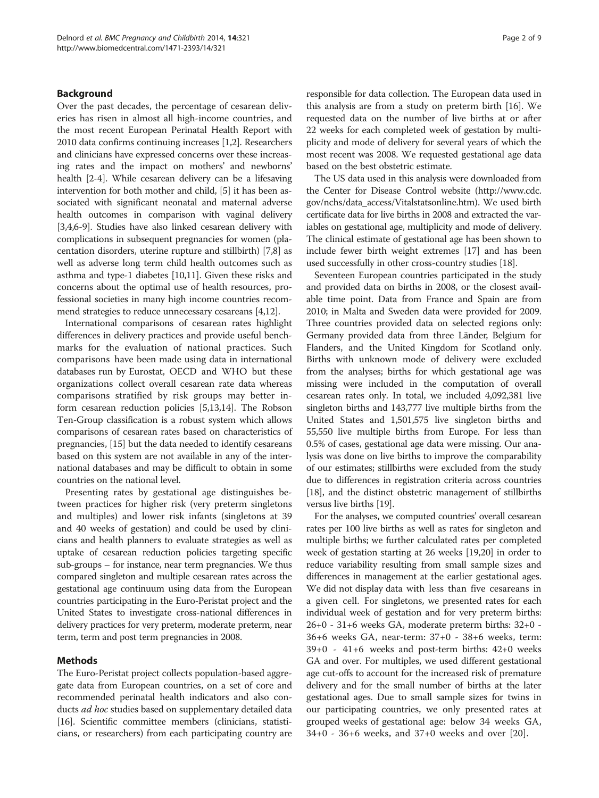#### Background

Over the past decades, the percentage of cesarean deliveries has risen in almost all high-income countries, and the most recent European Perinatal Health Report with 2010 data confirms continuing increases [[1,2](#page-7-0)]. Researchers and clinicians have expressed concerns over these increasing rates and the impact on mothers' and newborns' health [[2-4\]](#page-7-0). While cesarean delivery can be a lifesaving intervention for both mother and child, [\[5](#page-7-0)] it has been associated with significant neonatal and maternal adverse health outcomes in comparison with vaginal delivery [[3,4](#page-7-0),[6](#page-7-0)-[9\]](#page-7-0). Studies have also linked cesarean delivery with complications in subsequent pregnancies for women (placentation disorders, uterine rupture and stillbirth) [\[7,8](#page-7-0)] as well as adverse long term child health outcomes such as asthma and type-1 diabetes [[10,11](#page-7-0)]. Given these risks and concerns about the optimal use of health resources, professional societies in many high income countries recommend strategies to reduce unnecessary cesareans [\[4,12](#page-7-0)].

International comparisons of cesarean rates highlight differences in delivery practices and provide useful benchmarks for the evaluation of national practices. Such comparisons have been made using data in international databases run by Eurostat, OECD and WHO but these organizations collect overall cesarean rate data whereas comparisons stratified by risk groups may better inform cesarean reduction policies [\[5,13,14\]](#page-7-0). The Robson Ten-Group classification is a robust system which allows comparisons of cesarean rates based on characteristics of pregnancies, [\[15\]](#page-7-0) but the data needed to identify cesareans based on this system are not available in any of the international databases and may be difficult to obtain in some countries on the national level.

Presenting rates by gestational age distinguishes between practices for higher risk (very preterm singletons and multiples) and lower risk infants (singletons at 39 and 40 weeks of gestation) and could be used by clinicians and health planners to evaluate strategies as well as uptake of cesarean reduction policies targeting specific sub-groups – for instance, near term pregnancies. We thus compared singleton and multiple cesarean rates across the gestational age continuum using data from the European countries participating in the Euro-Peristat project and the United States to investigate cross-national differences in delivery practices for very preterm, moderate preterm, near term, term and post term pregnancies in 2008.

#### Methods

The Euro-Peristat project collects population-based aggregate data from European countries, on a set of core and recommended perinatal health indicators and also conducts *ad hoc* studies based on supplementary detailed data [[16](#page-7-0)]. Scientific committee members (clinicians, statisticians, or researchers) from each participating country are

responsible for data collection. The European data used in this analysis are from a study on preterm birth [[16](#page-7-0)]. We requested data on the number of live births at or after 22 weeks for each completed week of gestation by multiplicity and mode of delivery for several years of which the most recent was 2008. We requested gestational age data based on the best obstetric estimate.

The US data used in this analysis were downloaded from the Center for Disease Control website [\(http://www.cdc.](http://www.cdc.gov/nchs/data_access/Vitalstatsonline.htm) [gov/nchs/data\\_access/Vitalstatsonline.htm](http://www.cdc.gov/nchs/data_access/Vitalstatsonline.htm)). We used birth certificate data for live births in 2008 and extracted the variables on gestational age, multiplicity and mode of delivery. The clinical estimate of gestational age has been shown to include fewer birth weight extremes [\[17](#page-7-0)] and has been used successfully in other cross-country studies [[18](#page-7-0)].

Seventeen European countries participated in the study and provided data on births in 2008, or the closest available time point. Data from France and Spain are from 2010; in Malta and Sweden data were provided for 2009. Three countries provided data on selected regions only: Germany provided data from three Länder, Belgium for Flanders, and the United Kingdom for Scotland only. Births with unknown mode of delivery were excluded from the analyses; births for which gestational age was missing were included in the computation of overall cesarean rates only. In total, we included 4,092,381 live singleton births and 143,777 live multiple births from the United States and 1,501,575 live singleton births and 55,550 live multiple births from Europe. For less than 0.5% of cases, gestational age data were missing. Our analysis was done on live births to improve the comparability of our estimates; stillbirths were excluded from the study due to differences in registration criteria across countries [[18](#page-7-0)], and the distinct obstetric management of stillbirths versus live births [\[19](#page-7-0)].

For the analyses, we computed countries' overall cesarean rates per 100 live births as well as rates for singleton and multiple births; we further calculated rates per completed week of gestation starting at 26 weeks [\[19,20\]](#page-7-0) in order to reduce variability resulting from small sample sizes and differences in management at the earlier gestational ages. We did not display data with less than five cesareans in a given cell. For singletons, we presented rates for each individual week of gestation and for very preterm births: 26+0 - 31+6 weeks GA, moderate preterm births: 32+0 - 36+6 weeks GA, near-term: 37+0 - 38+6 weeks, term: 39+0 - 41+6 weeks and post-term births: 42+0 weeks GA and over. For multiples, we used different gestational age cut-offs to account for the increased risk of premature delivery and for the small number of births at the later gestational ages. Due to small sample sizes for twins in our participating countries, we only presented rates at grouped weeks of gestational age: below 34 weeks GA, 34+0 - 36+6 weeks, and 37+0 weeks and over [\[20](#page-7-0)].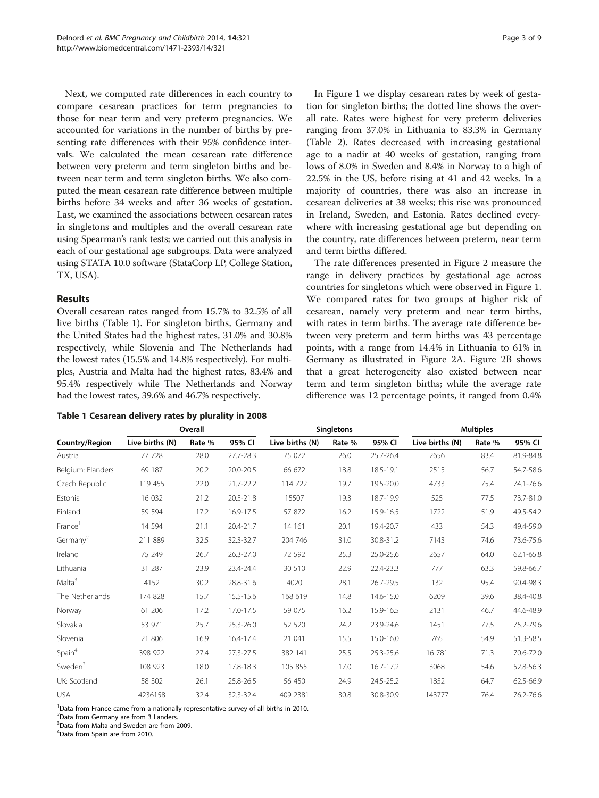Next, we computed rate differences in each country to compare cesarean practices for term pregnancies to those for near term and very preterm pregnancies. We accounted for variations in the number of births by presenting rate differences with their 95% confidence intervals. We calculated the mean cesarean rate difference between very preterm and term singleton births and between near term and term singleton births. We also computed the mean cesarean rate difference between multiple births before 34 weeks and after 36 weeks of gestation. Last, we examined the associations between cesarean rates in singletons and multiples and the overall cesarean rate using Spearman's rank tests; we carried out this analysis in each of our gestational age subgroups. Data were analyzed using STATA 10.0 software (StataCorp LP, College Station, TX, USA).

#### Results

Overall cesarean rates ranged from 15.7% to 32.5% of all live births (Table 1). For singleton births, Germany and the United States had the highest rates, 31.0% and 30.8% respectively, while Slovenia and The Netherlands had the lowest rates (15.5% and 14.8% respectively). For multiples, Austria and Malta had the highest rates, 83.4% and 95.4% respectively while The Netherlands and Norway had the lowest rates, 39.6% and 46.7% respectively.

| Table 1 Cesarean delivery rates by plurality in 2008 |  |  |  |  |  |
|------------------------------------------------------|--|--|--|--|--|
|------------------------------------------------------|--|--|--|--|--|

In Figure [1](#page-3-0) we display cesarean rates by week of gestation for singleton births; the dotted line shows the overall rate. Rates were highest for very preterm deliveries ranging from 37.0% in Lithuania to 83.3% in Germany (Table [2\)](#page-4-0). Rates decreased with increasing gestational age to a nadir at 40 weeks of gestation, ranging from lows of 8.0% in Sweden and 8.4% in Norway to a high of 22.5% in the US, before rising at 41 and 42 weeks. In a majority of countries, there was also an increase in cesarean deliveries at 38 weeks; this rise was pronounced in Ireland, Sweden, and Estonia. Rates declined everywhere with increasing gestational age but depending on the country, rate differences between preterm, near term and term births differed.

The rate differences presented in Figure [2](#page-5-0) measure the range in delivery practices by gestational age across countries for singletons which were observed in Figure [1](#page-3-0). We compared rates for two groups at higher risk of cesarean, namely very preterm and near term births, with rates in term births. The average rate difference between very preterm and term births was 43 percentage points, with a range from 14.4% in Lithuania to 61% in Germany as illustrated in Figure [2A](#page-5-0). Figure [2](#page-5-0)B shows that a great heterogeneity also existed between near term and term singleton births; while the average rate difference was 12 percentage points, it ranged from 0.4%

|                       | Overall         |        |           | <b>Singletons</b> |        |           | <b>Multiples</b> |        |           |
|-----------------------|-----------------|--------|-----------|-------------------|--------|-----------|------------------|--------|-----------|
| <b>Country/Region</b> | Live births (N) | Rate % | 95% CI    | Live births (N)   | Rate % | 95% CI    | Live births (N)  | Rate % | 95% CI    |
| Austria               | 77 728          | 28.0   | 27.7-28.3 | 75 072            | 26.0   | 25.7-26.4 | 2656             | 83.4   | 81.9-84.8 |
| Belgium: Flanders     | 69 187          | 20.2   | 20.0-20.5 | 66 672            | 18.8   | 18.5-19.1 | 2515             | 56.7   | 54.7-58.6 |
| Czech Republic        | 119 455         | 22.0   | 21.7-22.2 | 114 722           | 19.7   | 19.5-20.0 | 4733             | 75.4   | 74.1-76.6 |
| Estonia               | 16 032          | 21.2   | 20.5-21.8 | 15507             | 19.3   | 18.7-19.9 | 525              | 77.5   | 73.7-81.0 |
| Finland               | 59 594          | 17.2   | 16.9-17.5 | 57 872            | 16.2   | 15.9-16.5 | 1722             | 51.9   | 49.5-54.2 |
| France <sup>1</sup>   | 14 5 9 4        | 21.1   | 20.4-21.7 | 14 161            | 20.1   | 19.4-20.7 | 433              | 54.3   | 49.4-59.0 |
| Germany $^2$          | 211 889         | 32.5   | 32.3-32.7 | 204 746           | 31.0   | 30.8-31.2 | 7143             | 74.6   | 73.6-75.6 |
| Ireland               | 75 249          | 26.7   | 26.3-27.0 | 72 592            | 25.3   | 25.0-25.6 | 2657             | 64.0   | 62.1-65.8 |
| Lithuania             | 31 287          | 23.9   | 23.4-24.4 | 30 510            | 22.9   | 22.4-23.3 | 777              | 63.3   | 59.8-66.7 |
| Malta <sup>3</sup>    | 4152            | 30.2   | 28.8-31.6 | 4020              | 28.1   | 26.7-29.5 | 132              | 95.4   | 90.4-98.3 |
| The Netherlands       | 174 828         | 15.7   | 15.5-15.6 | 168 619           | 14.8   | 14.6-15.0 | 6209             | 39.6   | 38.4-40.8 |
| Norway                | 61 206          | 17.2   | 17.0-17.5 | 59 075            | 16.2   | 15.9-16.5 | 2131             | 46.7   | 44.6-48.9 |
| Slovakia              | 53 971          | 25.7   | 25.3-26.0 | 52 520            | 24.2   | 23.9-24.6 | 1451             | 77.5   | 75.2-79.6 |
| Slovenia              | 21 806          | 16.9   | 16.4-17.4 | 21 041            | 15.5   | 15.0-16.0 | 765              | 54.9   | 51.3-58.5 |
| Spain <sup>4</sup>    | 398 922         | 27.4   | 27.3-27.5 | 382 141           | 25.5   | 25.3-25.6 | 16 781           | 71.3   | 70.6-72.0 |
| Sweden <sup>3</sup>   | 108 923         | 18.0   | 17.8-18.3 | 105 855           | 17.0   | 16.7-17.2 | 3068             | 54.6   | 52.8-56.3 |
| UK: Scotland          | 58 302          | 26.1   | 25.8-26.5 | 56 450            | 24.9   | 24.5-25.2 | 1852             | 64.7   | 62.5-66.9 |
| <b>USA</b>            | 4236158         | 32.4   | 32.3-32.4 | 409 2381          | 30.8   | 30.8-30.9 | 143777           | 76.4   | 76.2-76.6 |

<sup>1</sup>Data from France came from a nationally representative survey of all births in 2010.

<sup>2</sup>Data from Germany are from 3 Landers.

3 Data from Malta and Sweden are from 2009.

4 Data from Spain are from 2010.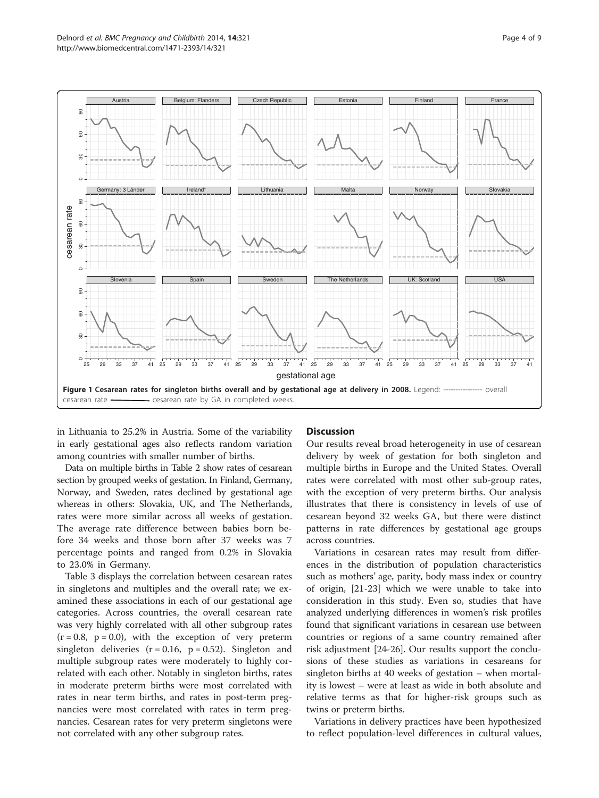<span id="page-3-0"></span>

in Lithuania to 25.2% in Austria. Some of the variability in early gestational ages also reflects random variation among countries with smaller number of births.

Data on multiple births in Table [2](#page-4-0) show rates of cesarean section by grouped weeks of gestation. In Finland, Germany, Norway, and Sweden, rates declined by gestational age whereas in others: Slovakia, UK, and The Netherlands, rates were more similar across all weeks of gestation. The average rate difference between babies born before 34 weeks and those born after 37 weeks was 7 percentage points and ranged from 0.2% in Slovakia to 23.0% in Germany.

Table [3](#page-6-0) displays the correlation between cesarean rates in singletons and multiples and the overall rate; we examined these associations in each of our gestational age categories. Across countries, the overall cesarean rate was very highly correlated with all other subgroup rates  $(r = 0.8, p = 0.0)$ , with the exception of very preterm singleton deliveries  $(r = 0.16, p = 0.52)$ . Singleton and multiple subgroup rates were moderately to highly correlated with each other. Notably in singleton births, rates in moderate preterm births were most correlated with rates in near term births, and rates in post-term pregnancies were most correlated with rates in term pregnancies. Cesarean rates for very preterm singletons were not correlated with any other subgroup rates.

#### **Discussion**

Our results reveal broad heterogeneity in use of cesarean delivery by week of gestation for both singleton and multiple births in Europe and the United States. Overall rates were correlated with most other sub-group rates, with the exception of very preterm births. Our analysis illustrates that there is consistency in levels of use of cesarean beyond 32 weeks GA, but there were distinct patterns in rate differences by gestational age groups across countries.

Variations in cesarean rates may result from differences in the distribution of population characteristics such as mothers' age, parity, body mass index or country of origin, [\[21](#page-7-0)-[23\]](#page-7-0) which we were unable to take into consideration in this study. Even so, studies that have analyzed underlying differences in women's risk profiles found that significant variations in cesarean use between countries or regions of a same country remained after risk adjustment [[24-26](#page-7-0)]. Our results support the conclusions of these studies as variations in cesareans for singleton births at 40 weeks of gestation – when mortality is lowest – were at least as wide in both absolute and relative terms as that for higher-risk groups such as twins or preterm births.

Variations in delivery practices have been hypothesized to reflect population-level differences in cultural values,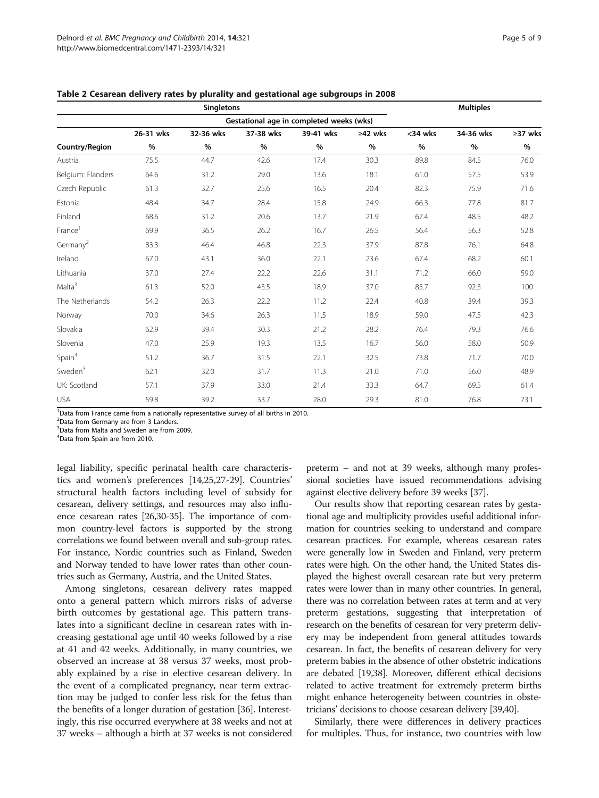|                                          |           | <b>Singletons</b> |           |           |               |            | <b>Multiples</b> |         |  |  |  |
|------------------------------------------|-----------|-------------------|-----------|-----------|---------------|------------|------------------|---------|--|--|--|
| Gestational age in completed weeks (wks) |           |                   |           |           |               |            |                  |         |  |  |  |
|                                          | 26-31 wks | 32-36 wks         | 37-38 wks | 39-41 wks | $\geq$ 42 wks | $<$ 34 wks | 34-36 wks        | ≥37 wks |  |  |  |
| Country/Region                           | $\%$      | $\%$              | $\%$      | $\%$      | $\%$          | $\%$       | $\%$             | $\%$    |  |  |  |
| Austria                                  | 75.5      | 44.7              | 42.6      | 17.4      | 30.3          | 89.8       | 84.5             | 76.0    |  |  |  |
| Belgium: Flanders                        | 64.6      | 31.2              | 29.0      | 13.6      | 18.1          | 61.0       | 57.5             | 53.9    |  |  |  |
| Czech Republic                           | 61.3      | 32.7              | 25.6      | 16.5      | 20.4          | 82.3       | 75.9             | 71.6    |  |  |  |
| Estonia                                  | 48.4      | 34.7              | 28.4      | 15.8      | 24.9          | 66.3       | 77.8             | 81.7    |  |  |  |
| Finland                                  | 68.6      | 31.2              | 20.6      | 13.7      | 21.9          | 67.4       | 48.5             | 48.2    |  |  |  |
| France <sup>1</sup>                      | 69.9      | 36.5              | 26.2      | 16.7      | 26.5          | 56.4       | 56.3             | 52.8    |  |  |  |
| Germany $^2$                             | 83.3      | 46.4              | 46.8      | 22.3      | 37.9          | 87.8       | 76.1             | 64.8    |  |  |  |
| Ireland                                  | 67.0      | 43.1              | 36.0      | 22.1      | 23.6          | 67.4       | 68.2             | 60.1    |  |  |  |
| Lithuania                                | 37.0      | 27.4              | 22.2      | 22.6      | 31.1          | 71.2       | 66.0             | 59.0    |  |  |  |
| Malta <sup>3</sup>                       | 61.3      | 52.0              | 43.5      | 18.9      | 37.0          | 85.7       | 92.3             | 100     |  |  |  |
| The Netherlands                          | 54.2      | 26.3              | 22.2      | 11.2      | 22.4          | 40.8       | 39.4             | 39.3    |  |  |  |
| Norway                                   | 70.0      | 34.6              | 26.3      | 11.5      | 18.9          | 59.0       | 47.5             | 42.3    |  |  |  |
| Slovakia                                 | 62.9      | 39.4              | 30.3      | 21.2      | 28.2          | 76.4       | 79.3             | 76.6    |  |  |  |
| Slovenia                                 | 47.0      | 25.9              | 19.3      | 13.5      | 16.7          | 56.0       | 58.0             | 50.9    |  |  |  |
| Spain <sup>4</sup>                       | 51.2      | 36.7              | 31.5      | 22.1      | 32.5          | 73.8       | 71.7             | 70.0    |  |  |  |
| Sweden <sup>3</sup>                      | 62.1      | 32.0              | 31.7      | 11.3      | 21.0          | 71.0       | 56.0             | 48.9    |  |  |  |
| UK: Scotland                             | 57.1      | 37.9              | 33.0      | 21.4      | 33.3          | 64.7       | 69.5             | 61.4    |  |  |  |
| <b>USA</b>                               | 59.8      | 39.2              | 33.7      | 28.0      | 29.3          | 81.0       | 76.8             | 73.1    |  |  |  |

<span id="page-4-0"></span>Table 2 Cesarean delivery rates by plurality and gestational age subgroups in 2008

<sup>1</sup>Data from France came from a nationally representative survey of all births in 2010.

<sup>2</sup>Data from Germany are from 3 Landers.

<sup>3</sup>Data from Malta and Sweden are from 2009.

4 Data from Spain are from 2010.

legal liability, specific perinatal health care characteristics and women's preferences [[14,25,27-29](#page-7-0)]. Countries' structural health factors including level of subsidy for cesarean, delivery settings, and resources may also influence cesarean rates [\[26,30-35](#page-7-0)]. The importance of common country-level factors is supported by the strong correlations we found between overall and sub-group rates. For instance, Nordic countries such as Finland, Sweden and Norway tended to have lower rates than other countries such as Germany, Austria, and the United States.

Among singletons, cesarean delivery rates mapped onto a general pattern which mirrors risks of adverse birth outcomes by gestational age. This pattern translates into a significant decline in cesarean rates with increasing gestational age until 40 weeks followed by a rise at 41 and 42 weeks. Additionally, in many countries, we observed an increase at 38 versus 37 weeks, most probably explained by a rise in elective cesarean delivery. In the event of a complicated pregnancy, near term extraction may be judged to confer less risk for the fetus than the benefits of a longer duration of gestation [\[36\]](#page-7-0). Interestingly, this rise occurred everywhere at 38 weeks and not at 37 weeks – although a birth at 37 weeks is not considered preterm – and not at 39 weeks, although many professional societies have issued recommendations advising against elective delivery before 39 weeks [[37](#page-7-0)].

Our results show that reporting cesarean rates by gestational age and multiplicity provides useful additional information for countries seeking to understand and compare cesarean practices. For example, whereas cesarean rates were generally low in Sweden and Finland, very preterm rates were high. On the other hand, the United States displayed the highest overall cesarean rate but very preterm rates were lower than in many other countries. In general, there was no correlation between rates at term and at very preterm gestations, suggesting that interpretation of research on the benefits of cesarean for very preterm delivery may be independent from general attitudes towards cesarean. In fact, the benefits of cesarean delivery for very preterm babies in the absence of other obstetric indications are debated [\[19,38\]](#page-7-0). Moreover, different ethical decisions related to active treatment for extremely preterm births might enhance heterogeneity between countries in obstetricians' decisions to choose cesarean delivery [\[39,40](#page-8-0)].

Similarly, there were differences in delivery practices for multiples. Thus, for instance, two countries with low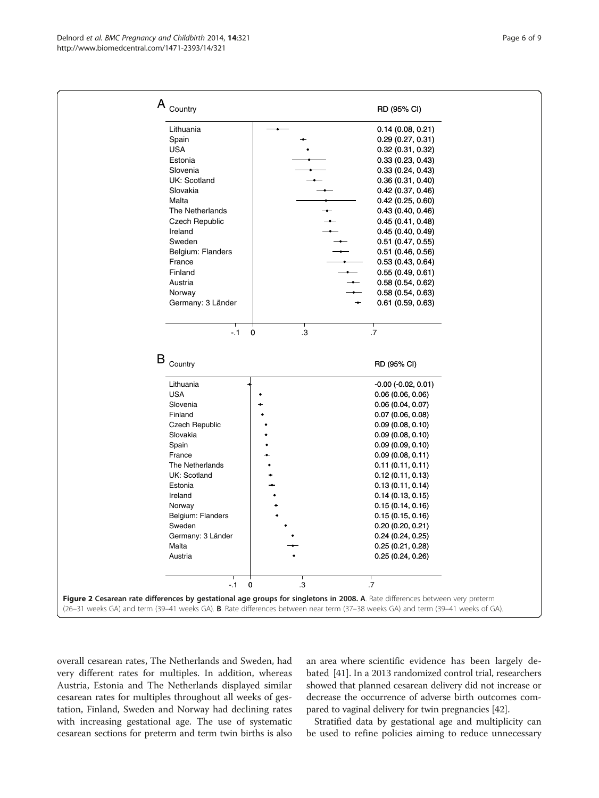<span id="page-5-0"></span>

overall cesarean rates, The Netherlands and Sweden, had very different rates for multiples. In addition, whereas Austria, Estonia and The Netherlands displayed similar cesarean rates for multiples throughout all weeks of gestation, Finland, Sweden and Norway had declining rates with increasing gestational age. The use of systematic cesarean sections for preterm and term twin births is also an area where scientific evidence has been largely debated [\[41](#page-8-0)]. In a 2013 randomized control trial, researchers showed that planned cesarean delivery did not increase or decrease the occurrence of adverse birth outcomes compared to vaginal delivery for twin pregnancies [\[42\]](#page-8-0).

Stratified data by gestational age and multiplicity can be used to refine policies aiming to reduce unnecessary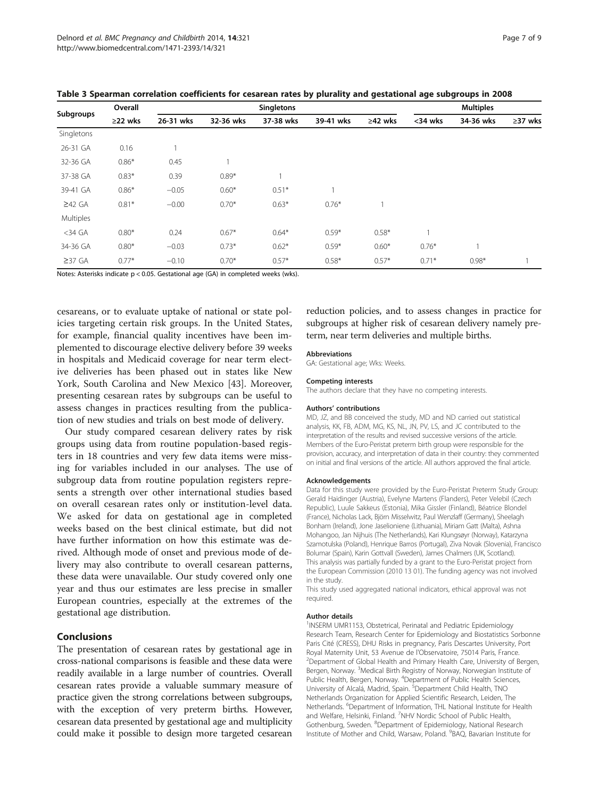| <b>Subgroups</b> | Overall       |           |           | <b>Multiples</b> |           |               |            |           |               |
|------------------|---------------|-----------|-----------|------------------|-----------|---------------|------------|-----------|---------------|
|                  | $\geq$ 22 wks | 26-31 wks | 32-36 wks | 37-38 wks        | 39-41 wks | $\geq$ 42 wks | $<$ 34 wks | 34-36 wks | $\geq$ 37 wks |
| Singletons       |               |           |           |                  |           |               |            |           |               |
| 26-31 GA         | 0.16          |           |           |                  |           |               |            |           |               |
| 32-36 GA         | $0.86*$       | 0.45      |           |                  |           |               |            |           |               |
| 37-38 GA         | $0.83*$       | 0.39      | $0.89*$   |                  |           |               |            |           |               |
| 39-41 GA         | $0.86*$       | $-0.05$   | $0.60*$   | $0.51*$          | 1         |               |            |           |               |
| $\geq$ 42 GA     | $0.81*$       | $-0.00$   | $0.70*$   | $0.63*$          | $0.76*$   |               |            |           |               |
| Multiples        |               |           |           |                  |           |               |            |           |               |
| $<$ 34 GA        | $0.80*$       | 0.24      | $0.67*$   | $0.64*$          | $0.59*$   | $0.58*$       |            |           |               |
| 34-36 GA         | $0.80*$       | $-0.03$   | $0.73*$   | $0.62*$          | $0.59*$   | $0.60*$       | $0.76*$    |           |               |
| $\geq$ 37 GA     | $0.77*$       | $-0.10$   | $0.70*$   | $0.57*$          | $0.58*$   | $0.57*$       | $0.71*$    | $0.98*$   |               |

<span id="page-6-0"></span>

| Table 3 Spearman correlation coefficients for cesarean rates by plurality and gestational age subgroups in 2008 |  |  |  |  |
|-----------------------------------------------------------------------------------------------------------------|--|--|--|--|
|-----------------------------------------------------------------------------------------------------------------|--|--|--|--|

Notes: Asterisks indicate p < 0.05. Gestational age (GA) in completed weeks (wks).

cesareans, or to evaluate uptake of national or state policies targeting certain risk groups. In the United States, for example, financial quality incentives have been implemented to discourage elective delivery before 39 weeks in hospitals and Medicaid coverage for near term elective deliveries has been phased out in states like New York, South Carolina and New Mexico [[43\]](#page-8-0). Moreover, presenting cesarean rates by subgroups can be useful to assess changes in practices resulting from the publication of new studies and trials on best mode of delivery.

Our study compared cesarean delivery rates by risk groups using data from routine population-based registers in 18 countries and very few data items were missing for variables included in our analyses. The use of subgroup data from routine population registers represents a strength over other international studies based on overall cesarean rates only or institution-level data. We asked for data on gestational age in completed weeks based on the best clinical estimate, but did not have further information on how this estimate was derived. Although mode of onset and previous mode of delivery may also contribute to overall cesarean patterns, these data were unavailable. Our study covered only one year and thus our estimates are less precise in smaller European countries, especially at the extremes of the gestational age distribution.

#### Conclusions

The presentation of cesarean rates by gestational age in cross-national comparisons is feasible and these data were readily available in a large number of countries. Overall cesarean rates provide a valuable summary measure of practice given the strong correlations between subgroups, with the exception of very preterm births. However, cesarean data presented by gestational age and multiplicity could make it possible to design more targeted cesarean

reduction policies, and to assess changes in practice for subgroups at higher risk of cesarean delivery namely preterm, near term deliveries and multiple births.

#### Abbreviations

GA: Gestational age; Wks: Weeks.

#### Competing interests

The authors declare that they have no competing interests.

#### Authors' contributions

MD, JZ, and BB conceived the study, MD and ND carried out statistical analysis, KK, FB, ADM, MG, KS, NL, JN, PV, LS, and JC contributed to the interpretation of the results and revised successive versions of the article. Members of the Euro-Peristat preterm birth group were responsible for the provision, accuracy, and interpretation of data in their country: they commented on initial and final versions of the article. All authors approved the final article.

#### Acknowledgements

Data for this study were provided by the Euro-Peristat Preterm Study Group: Gerald Haidinger (Austria), Evelyne Martens (Flanders), Peter Velebil (Czech Republic), Luule Sakkeus (Estonia), Mika Gissler (Finland), Béatrice Blondel (France), Nicholas Lack, Björn Misselwitz, Paul Wenzlaff (Germany), Sheelagh Bonham (Ireland), Jone Jaselioniene (Lithuania), Miriam Gatt (Malta), Ashna Mohangoo, Jan Nijhuis (The Netherlands), Kari Klungsøyr (Norway), Katarzyna Szamotulska (Poland), Henrique Barros (Portugal), Ziva Novak (Slovenia), Francisco Bolumar (Spain), Karin Gottvall (Sweden), James Chalmers (UK, Scotland). This analysis was partially funded by a grant to the Euro-Peristat project from the European Commission (2010 13 01). The funding agency was not involved in the study.

This study used aggregated national indicators, ethical approval was not required.

#### Author details

<sup>1</sup>INSERM UMR1153, Obstetrical, Perinatal and Pediatric Epidemiology Research Team, Research Center for Epidemiology and Biostatistics Sorbonne Paris Cité (CRESS), DHU Risks in pregnancy, Paris Descartes University, Port Royal Maternity Unit, 53 Avenue de l'Observatoire, 75014 Paris, France. <sup>2</sup> Department of Global Health and Primary Health Care, University of Bergen Bergen, Norway. <sup>3</sup>Medical Birth Registry of Norway, Norwegian Institute of Public Health, Bergen, Norway. <sup>4</sup>Department of Public Health Sciences University of Alcalá, Madrid, Spain. <sup>5</sup>Department Child Health, TNC Netherlands Organization for Applied Scientific Research, Leiden, The Netherlands. <sup>6</sup>Department of Information, THL National Institute for Health and Welfare, Helsinki, Finland. <sup>7</sup>NHV Nordic School of Public Health Gothenburg, Sweden. <sup>8</sup>Department of Epidemiology, National Research Institute of Mother and Child, Warsaw, Poland. <sup>9</sup> BAQ, Bavarian Institute for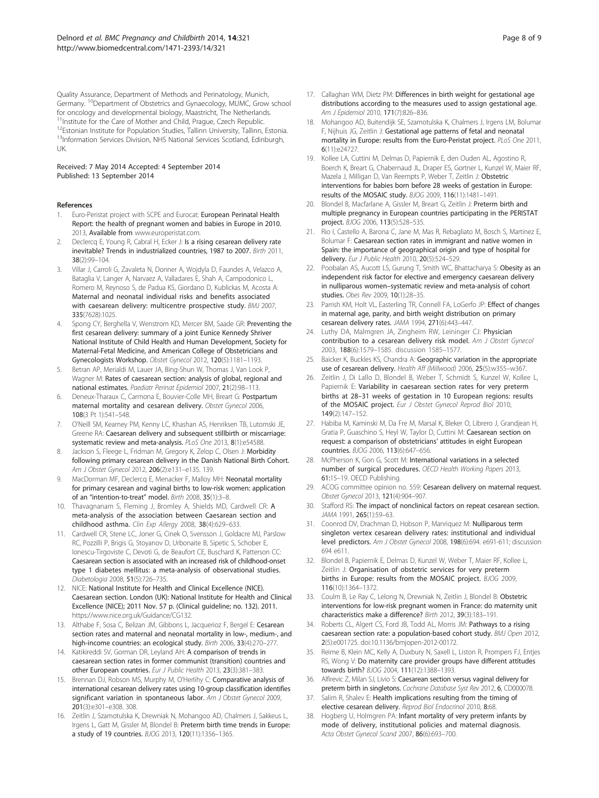<span id="page-7-0"></span>Quality Assurance, Department of Methods and Perinatology, Munich, Germany. <sup>10</sup>Department of Obstetrics and Gynaecology, MUMC, Grow school for oncology and developmental biology, Maastricht, The Netherlands. <sup>11</sup>Institute for the Care of Mother and Child, Prague, Czech Republic. <sup>12</sup>Estonian Institute for Population Studies, Tallinn University, Tallinn, Estonia. <sup>13</sup>Information Services Division, NHS National Services Scotland, Edinburgh, UK.

#### Received: 7 May 2014 Accepted: 4 September 2014 Published: 13 September 2014

#### References

- 1. Euro-Peristat project with SCPE and Eurocat: European Perinatal Health Report: the health of pregnant women and babies in Europe in 2010. 2013, Available from [www.europeristat.com](http://www.europeristat.com).
- Declercq E, Young R, Cabral H, Ecker J: Is a rising cesarean delivery rate inevitable? Trends in industrialized countries, 1987 to 2007. Birth 2011, 38(2):99–104.
- 3. Villar J, Carroli G, Zavaleta N, Donner A, Wojdyla D, Faundes A, Velazco A, Bataglia V, Langer A, Narvaez A, Valladares E, Shah A, Campodonico L, Romero M, Reynoso S, de Padua KS, Giordano D, Kublickas M, Acosta A: Maternal and neonatal individual risks and benefits associated with caesarean delivery: multicentre prospective study. BMJ 2007, 335(7628):1025.
- Spong CY, Berghella V, Wenstrom KD, Mercer BM, Saade GR: Preventing the first cesarean delivery: summary of a joint Eunice Kennedy Shriver National Institute of Child Health and Human Development, Society for Maternal-Fetal Medicine, and American College of Obstetricians and Gynecologists Workshop. Obstet Gynecol 2012, 120(5):1181–1193.
- 5. Betran AP, Merialdi M, Lauer JA, Bing-Shun W, Thomas J, Van Look P, Wagner M: Rates of caesarean section: analysis of global, regional and national estimates. Paediatr Perinat Epidemiol 2007, 21(2):98–113.
- 6. Deneux-Tharaux C, Carmona E, Bouvier-Colle MH, Breart G: Postpartum maternal mortality and cesarean delivery. Obstet Gynecol 2006, 108(3 Pt 1):541–548.
- 7. O'Neill SM, Kearney PM, Kenny LC, Khashan AS, Henriksen TB, Lutomski JE, Greene RA: Caesarean delivery and subsequent stillbirth or miscarriage: systematic review and meta-analysis. PLoS One 2013, 8(1):e54588.
- Jackson S, Fleege L, Fridman M, Gregory K, Zelop C, Olsen J: Morbidity following primary cesarean delivery in the Danish National Birth Cohort. Am J Obstet Gynecol 2012, 206(2):e131–e135. 139.
- MacDorman MF, Declercq E, Menacker F, Malloy MH: Neonatal mortality for primary cesarean and vaginal births to low-risk women: application of an "intention-to-treat" model. Birth 2008, 35(1):3–8.
- 10. Thavagnanam S, Fleming J, Bromley A, Shields MD, Cardwell CR: A meta-analysis of the association between Caesarean section and childhood asthma. Clin Exp Allergy 2008, 38(4):629–633.
- 11. Cardwell CR, Stene LC, Joner G, Cinek O, Svensson J, Goldacre MJ, Parslow RC, Pozzilli P, Brigis G, Stoyanov D, Urbonaite B, Sipetic S, Schober E, Ionescu-Tirgoviste C, Devoti G, de Beaufort CE, Buschard K, Patterson CC: Caesarean section is associated with an increased risk of childhood-onset type 1 diabetes mellitus: a meta-analysis of observational studies. Diabetologia 2008, 51(5):726–735.
- 12. NICE: National Institute for Health and Clinical Excellence (NICE). Caesarean section. London (UK): National Institute for Health and Clinical Excellence (NICE); 2011 Nov. 57 p. (Clinical guideline; no. 132). 2011. [https://www.nice.org.uk/Guidance/CG132.](https://www.nice.org.uk/Guidance/CG132)
- 13. Althabe F, Sosa C, Belizan JM, Gibbons L, Jacquerioz F, Bergel E: Cesarean section rates and maternal and neonatal mortality in low-, medium-, and high-income countries: an ecological study. Birth 2006, 33(4):270–277.
- 14. Katikireddi SV, Gorman DR, Leyland AH: A comparison of trends in caesarean section rates in former communist (transition) countries and other European countries. Eur J Public Health 2013, 23(3):381–383.
- 15. Brennan DJ, Robson MS, Murphy M, O'Herlihy C: Comparative analysis of international cesarean delivery rates using 10-group classification identifies significant variation in spontaneous labor. Am J Obstet Gynecol 2009, 201(3):e301–e308. 308.
- 16. Zeitlin J, Szamotulska K, Drewniak N, Mohangoo AD, Chalmers J, Sakkeus L, Irgens L, Gatt M, Gissler M, Blondel B: Preterm birth time trends in Europe: a study of 19 countries. BJOG 2013, 120(11):1356–1365.
- 17. Callaghan WM, Dietz PM: Differences in birth weight for gestational age distributions according to the measures used to assign gestational age. Am J Epidemiol 2010, 171(7):826–836.
- 18. Mohangoo AD, Buitendijk SE, Szamotulska K, Chalmers J, Irgens LM, Bolumar F, Nijhuis JG, Zeitlin J: Gestational age patterns of fetal and neonatal mortality in Europe: results from the Euro-Peristat project. PLoS One 2011, 6(11):e24727.
- 19. Kollee LA, Cuttini M, Delmas D, Papiernik E, den Ouden AL, Agostino R, Boerch K, Breart G, Chabernaud JL, Draper ES, Gortner L, Kunzel W, Maier RF, Mazela J, Milligan D, Van Reempts P, Weber T, Zeitlin J: Obstetric interventions for babies born before 28 weeks of gestation in Europe: results of the MOSAIC study. BJOG 2009, 116(11):1481–1491.
- 20. Blondel B, Macfarlane A, Gissler M, Breart G, Zeitlin J: Preterm birth and multiple pregnancy in European countries participating in the PERISTAT project. BJOG 2006, 113(5):528–535.
- 21. Rio I, Castello A, Barona C, Jane M, Mas R, Rebagliato M, Bosch S, Martinez E, Bolumar F: Caesarean section rates in immigrant and native women in Spain: the importance of geographical origin and type of hospital for delivery. Eur J Public Health 2010, 20(5):524–529.
- 22. Poobalan AS, Aucott LS, Gurung T, Smith WC, Bhattacharya S: Obesity as an independent risk factor for elective and emergency caesarean delivery in nulliparous women–systematic review and meta-analysis of cohort studies. Obes Rev 2009, 10(1):28–35.
- 23. Parrish KM, Holt VL, Easterling TR, Connell FA, LoGerfo JP: Effect of changes in maternal age, parity, and birth weight distribution on primary cesarean delivery rates. JAMA 1994, 271(6):443–447.
- 24. Luthy DA, Malmgren JA, Zingheim RW, Leininger CJ: Physician contribution to a cesarean delivery risk model. Am J Obstet Gynecol 2003, 188(6):1579–1585. discussion 1585–1577.
- 25. Baicker K, Buckles KS, Chandra A: Geographic variation in the appropriate use of cesarean delivery. Health Aff (Millwood) 2006, 25(5):w355–w367.
- 26. Zeitlin J, Di Lallo D, Blondel B, Weber T, Schmidt S, Kunzel W, Kollee L, Papiernik E: Variability in caesarean section rates for very preterm births at 28–31 weeks of gestation in 10 European regions: results of the MOSAIC project. Eur J Obstet Gynecol Reprod Biol 2010, 149(2):147–152.
- 27. Habiba M, Kaminski M, Da Fre M, Marsal K, Bleker O, Librero J, Grandjean H, Gratia P, Guaschino S, Heyl W, Taylor D, Cuttini M: Caesarean section on request: a comparison of obstetricians' attitudes in eight European countries. BJOG 2006, 113(6):647–656.
- 28. McPherson K, Gon G, Scott M: International variations in a selected number of surgical procedures. OECD Health Working Papers 2013, 61:15–19. OECD Publishing.
- 29. ACOG committee opinion no. 559: Cesarean delivery on maternal request. Obstet Gynecol 2013, 121(4):904–907.
- 30. Stafford RS: The impact of nonclinical factors on repeat cesarean section. JAMA 1991, 265(1):59–63.
- 31. Coonrod DV, Drachman D, Hobson P, Manriquez M: Nulliparous term singleton vertex cesarean delivery rates: institutional and individual level predictors. Am J Obstet Gynecol 2008, 198(6):694. e691-611; discussion 694 e611.
- 32. Blondel B, Papiernik E, Delmas D, Kunzel W, Weber T, Maier RF, Kollee L, Zeitlin J: Organisation of obstetric services for very preterm births in Europe: results from the MOSAIC project. BJOG 2009, 116(10):1364–1372.
- 33. Coulm B, Le Ray C, Lelong N, Drewniak N, Zeitlin J, Blondel B: Obstetric interventions for low-risk pregnant women in France: do maternity unit characteristics make a difference? Birth 2012, 39(3):183–191.
- 34. Roberts CL, Algert CS, Ford JB, Todd AL, Morris JM: Pathways to a rising caesarean section rate: a population-based cohort study. BMJ Open 2012, 2(5):e001725. doi:10.1136/bmjopen-2012-00172.
- 35. Reime B, Klein MC, Kelly A, Duxbury N, Saxell L, Liston R, Prompers FJ, Entjes RS, Wong V: Do maternity care provider groups have different attitudes towards birth? BJOG 2004, 111(12):1388–1393.
- 36. Alfirevic Z, Milan SJ, Livio S: Caesarean section versus vaginal delivery for preterm birth in singletons. Cochrane Database Syst Rev 2012, 6, CD000078.
- 37. Salim R, Shalev E: Health implications resulting from the timing of elective cesarean delivery. Reprod Biol Endocrinol 2010, 8:68.
- 38. Hogberg U, Holmgren PA: Infant mortality of very preterm infants by mode of delivery, institutional policies and maternal diagnosis. Acta Obstet Gynecol Scand 2007, 86(6):693–700.